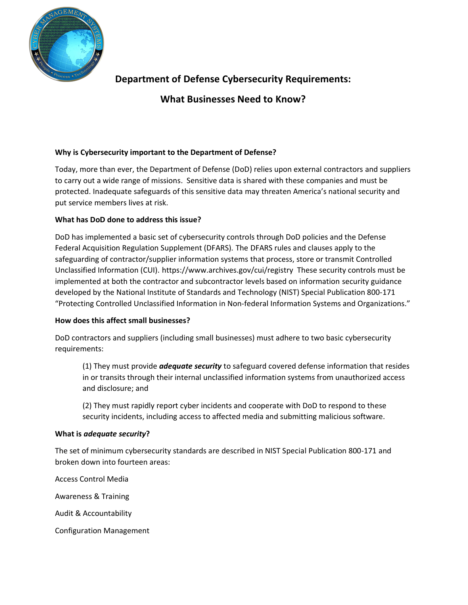

# **Department of Defense Cybersecurity Requirements:**

**What Businesses Need to Know?**

# **Why is Cybersecurity important to the Department of Defense?**

Today, more than ever, the Department of Defense (DoD) relies upon external contractors and suppliers to carry out a wide range of missions. Sensitive data is shared with these companies and must be protected. Inadequate safeguards of this sensitive data may threaten America's national security and put service members lives at risk.

# **What has DoD done to address this issue?**

DoD has implemented a basic set of cybersecurity controls through DoD policies and the Defense Federal Acquisition Regulation Supplement (DFARS). The DFARS rules and clauses apply to the safeguarding of contractor/supplier information systems that process, store or transmit Controlled Unclassified Information (CUI). https://www.archives.gov/cui/registry These security controls must be implemented at both the contractor and subcontractor levels based on information security guidance developed by the National Institute of Standards and Technology (NIST) Special Publication 800-171 "Protecting Controlled Unclassified Information in Non-federal Information Systems and Organizations."

# **How does this affect small businesses?**

DoD contractors and suppliers (including small businesses) must adhere to two basic cybersecurity requirements:

(1) They must provide *adequate security* to safeguard covered defense information that resides in or transits through their internal unclassified information systems from unauthorized access and disclosure; and

(2) They must rapidly report cyber incidents and cooperate with DoD to respond to these security incidents, including access to affected media and submitting malicious software.

# **What is** *adequate security***?**

The set of minimum cybersecurity standards are described in NIST Special Publication 800-171 and broken down into fourteen areas:

Access Control Media

Awareness & Training

Audit & Accountability

Configuration Management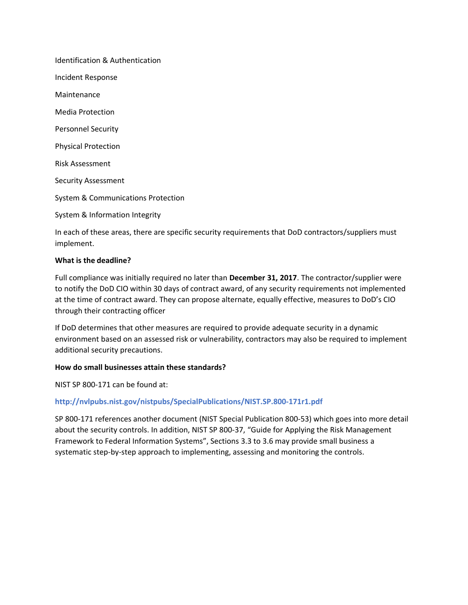Identification & Authentication Incident Response Maintenance Media Protection Personnel Security Physical Protection Risk Assessment Security Assessment System & Communications Protection System & Information Integrity

In each of these areas, there are specific security requirements that DoD contractors/suppliers must implement.

#### **What is the deadline?**

Full compliance was initially required no later than **December 31, 2017**. The contractor/supplier were to notify the DoD CIO within 30 days of contract award, of any security requirements not implemented at the time of contract award. They can propose alternate, equally effective, measures to DoD's CIO through their contracting officer

If DoD determines that other measures are required to provide adequate security in a dynamic environment based on an assessed risk or vulnerability, contractors may also be required to implement additional security precautions.

#### **How do small businesses attain these standards?**

NIST SP 800-171 can be found at:

# **http://nvlpubs.nist.gov/nistpubs/SpecialPublications/NIST.SP.800-171r1.pdf**

SP 800-171 references another document (NIST Special Publication 800-53) which goes into more detail about the security controls. In addition, NIST SP 800-37, "Guide for Applying the Risk Management Framework to Federal Information Systems", Sections 3.3 to 3.6 may provide small business a systematic step-by-step approach to implementing, assessing and monitoring the controls.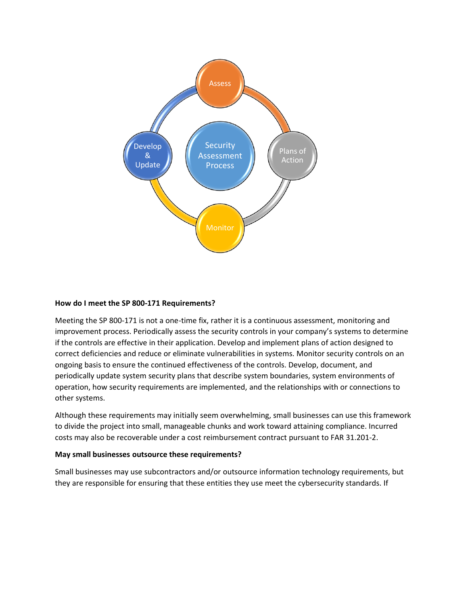

#### **How do I meet the SP 800-171 Requirements?**

Meeting the SP 800-171 is not a one-time fix, rather it is a continuous assessment, monitoring and improvement process. Periodically assess the security controls in your company's systems to determine if the controls are effective in their application. Develop and implement plans of action designed to correct deficiencies and reduce or eliminate vulnerabilities in systems. Monitor security controls on an ongoing basis to ensure the continued effectiveness of the controls. Develop, document, and periodically update system security plans that describe system boundaries, system environments of operation, how security requirements are implemented, and the relationships with or connections to other systems.

Although these requirements may initially seem overwhelming, small businesses can use this framework to divide the project into small, manageable chunks and work toward attaining compliance. Incurred costs may also be recoverable under a cost reimbursement contract pursuant to FAR 31.201-2.

#### **May small businesses outsource these requirements?**

Small businesses may use subcontractors and/or outsource information technology requirements, but they are responsible for ensuring that these entities they use meet the cybersecurity standards. If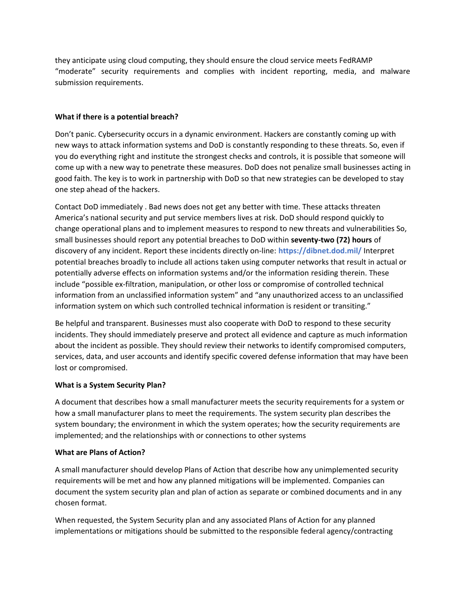they anticipate using cloud computing, they should ensure the cloud service meets FedRAMP "moderate" security requirements and complies with incident reporting, media, and malware submission requirements.

## **What if there is a potential breach?**

Don't panic. Cybersecurity occurs in a dynamic environment. Hackers are constantly coming up with new ways to attack information systems and DoD is constantly responding to these threats. So, even if you do everything right and institute the strongest checks and controls, it is possible that someone will come up with a new way to penetrate these measures. DoD does not penalize small businesses acting in good faith. The key is to work in partnership with DoD so that new strategies can be developed to stay one step ahead of the hackers.

Contact DoD immediately . Bad news does not get any better with time. These attacks threaten America's national security and put service members lives at risk. DoD should respond quickly to change operational plans and to implement measures to respond to new threats and vulnerabilities So, small businesses should report any potential breaches to DoD within **seventy-two (72) hours** of discovery of any incident. Report these incidents directly on-line: **https://dibnet.dod.mil/** Interpret potential breaches broadly to include all actions taken using computer networks that result in actual or potentially adverse effects on information systems and/or the information residing therein. These include "possible ex-filtration, manipulation, or other loss or compromise of controlled technical information from an unclassified information system" and "any unauthorized access to an unclassified information system on which such controlled technical information is resident or transiting."

Be helpful and transparent. Businesses must also cooperate with DoD to respond to these security incidents. They should immediately preserve and protect all evidence and capture as much information about the incident as possible. They should review their networks to identify compromised computers, services, data, and user accounts and identify specific covered defense information that may have been lost or compromised.

# **What is a System Security Plan?**

A document that describes how a small manufacturer meets the security requirements for a system or how a small manufacturer plans to meet the requirements. The system security plan describes the system boundary; the environment in which the system operates; how the security requirements are implemented; and the relationships with or connections to other systems

#### **What are Plans of Action?**

A small manufacturer should develop Plans of Action that describe how any unimplemented security requirements will be met and how any planned mitigations will be implemented. Companies can document the system security plan and plan of action as separate or combined documents and in any chosen format.

When requested, the System Security plan and any associated Plans of Action for any planned implementations or mitigations should be submitted to the responsible federal agency/contracting